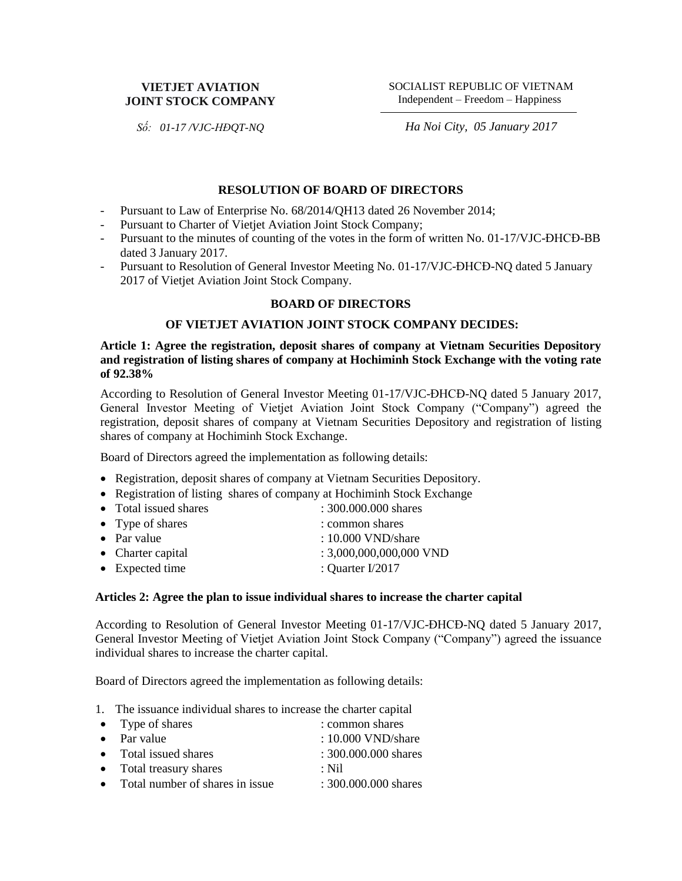# **VIETJET AVIATION JOINT STOCK COMPANY**

SOCIALIST REPUBLIC OF VIETNAM Independent – Freedom – Happiness

*Số: 01-17 /VJC-HĐQT-NQ*

*Ha Noi City, 05 January 2017*

# **RESOLUTION OF BOARD OF DIRECTORS**

- Pursuant to Law of Enterprise No. 68/2014/QH13 dated 26 November 2014;
- Pursuant to Charter of Vietjet Aviation Joint Stock Company;
- Pursuant to the minutes of counting of the votes in the form of written No. 01-17/VJC-ĐHCĐ-BB dated 3 January 2017.
- Pursuant to Resolution of General Investor Meeting No. 01-17/VJC-ĐHCĐ-NQ dated 5 January 2017 of Vietjet Aviation Joint Stock Company.

### **BOARD OF DIRECTORS**

# **OF VIETJET AVIATION JOINT STOCK COMPANY DECIDES:**

**Article 1: Agree the registration, deposit shares of company at Vietnam Securities Depository and registration of listing shares of company at Hochiminh Stock Exchange with the voting rate of 92.38%**

According to Resolution of General Investor Meeting 01-17/VJC-ĐHCĐ-NQ dated 5 January 2017, General Investor Meeting of Vietjet Aviation Joint Stock Company ("Company") agreed the registration, deposit shares of company at Vietnam Securities Depository and registration of listing shares of company at Hochiminh Stock Exchange.

Board of Directors agreed the implementation as following details:

- Registration, deposit shares of company at Vietnam Securities Depository.
- Registration of listing shares of company at Hochiminh Stock Exchange
- Total issued shares : 300.000.000 shares
- Type of shares : common shares
- Par value : 10.000 VND/share • Charter capital : 3,000,000,000,000 VND
- Expected time : Quarter I/2017

#### **Articles 2: Agree the plan to issue individual shares to increase the charter capital**

According to Resolution of General Investor Meeting 01-17/VJC-ĐHCĐ-NQ dated 5 January 2017, General Investor Meeting of Vietjet Aviation Joint Stock Company ("Company") agreed the issuance individual shares to increase the charter capital.

Board of Directors agreed the implementation as following details:

1. The issuance individual shares to increase the charter capital

| • Type of shares                  | : common shares        |
|-----------------------------------|------------------------|
| $\bullet$ Par value               | $: 10.000$ VND/share   |
| • Total issued shares             | : 300.000.000 shares   |
| • Total treasury shares           | $\cdot$ Nil            |
| • Total number of shares in issue | $: 300.000.000$ shares |